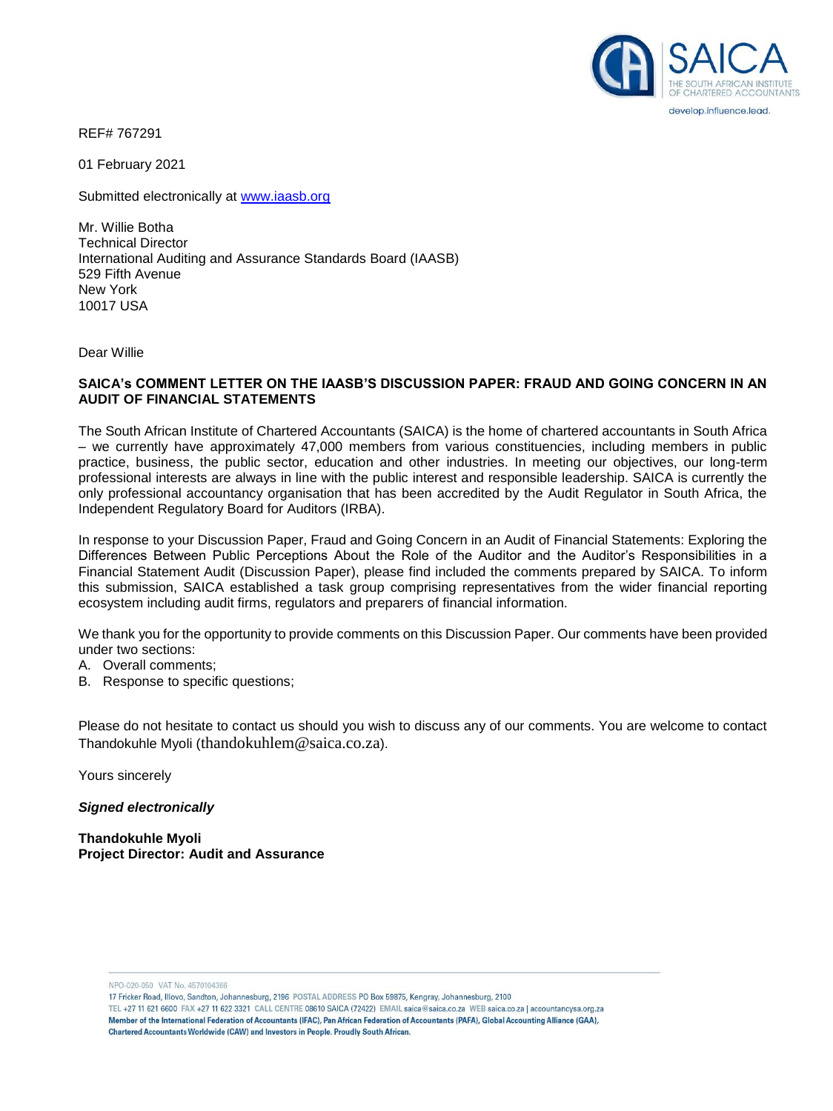

REF# 767291

01 February 2021

Submitted electronically at [www.iaasb.org](http://www.iaasb.org/)

Mr. Willie Botha Technical Director International Auditing and Assurance Standards Board (IAASB) 529 Fifth Avenue New York 10017 USA

Dear Willie

### **SAICA's COMMENT LETTER ON THE IAASB'S DISCUSSION PAPER: FRAUD AND GOING CONCERN IN AN AUDIT OF FINANCIAL STATEMENTS**

The South African Institute of Chartered Accountants (SAICA) is the home of chartered accountants in South Africa – we currently have approximately 47,000 members from various constituencies, including members in public practice, business, the public sector, education and other industries. In meeting our objectives, our long-term professional interests are always in line with the public interest and responsible leadership. SAICA is currently the only professional accountancy organisation that has been accredited by the Audit Regulator in South Africa, the Independent Regulatory Board for Auditors (IRBA).

In response to your Discussion Paper, Fraud and Going Concern in an Audit of Financial Statements: Exploring the Differences Between Public Perceptions About the Role of the Auditor and the Auditor's Responsibilities in a Financial Statement Audit (Discussion Paper), please find included the comments prepared by SAICA. To inform this submission, SAICA established a task group comprising representatives from the wider financial reporting ecosystem including audit firms, regulators and preparers of financial information.

We thank you for the opportunity to provide comments on this Discussion Paper. Our comments have been provided under two sections:

- A. Overall comments;
- B. Response to specific questions;

Please do not hesitate to contact us should you wish to discuss any of our comments. You are welcome to contact Thandokuhle Myoli ([thandokuhlem@saica.co.za](mailto:thandokuhlem@saica.co.za)).

Yours sincerely

*Signed electronically*

**Thandokuhle Myoli Project Director: Audit and Assurance**

NPO-020-050 VAT No. 4570104366

17 Fricker Road, Illovo, Sandton, Johannesburg, 2196 POSTAL ADDRESS PO Box 59875, Kengray, Johannesburg, 2100

TEL +27 11 621 6600 FAX +27 11 622 3321 CALL CENTRE 08610 SAICA (72422) EMAIL saica@saica.co.za WEB saica.co.za | accountancysa.org.za Member of the International Federation of Accountants (IFAC). Pan African Federation of Accountants (PAFA), Global Accounting Alliance (GAA), Chartered Accountants Worldwide (CAW) and Investors in People. Proudly South African.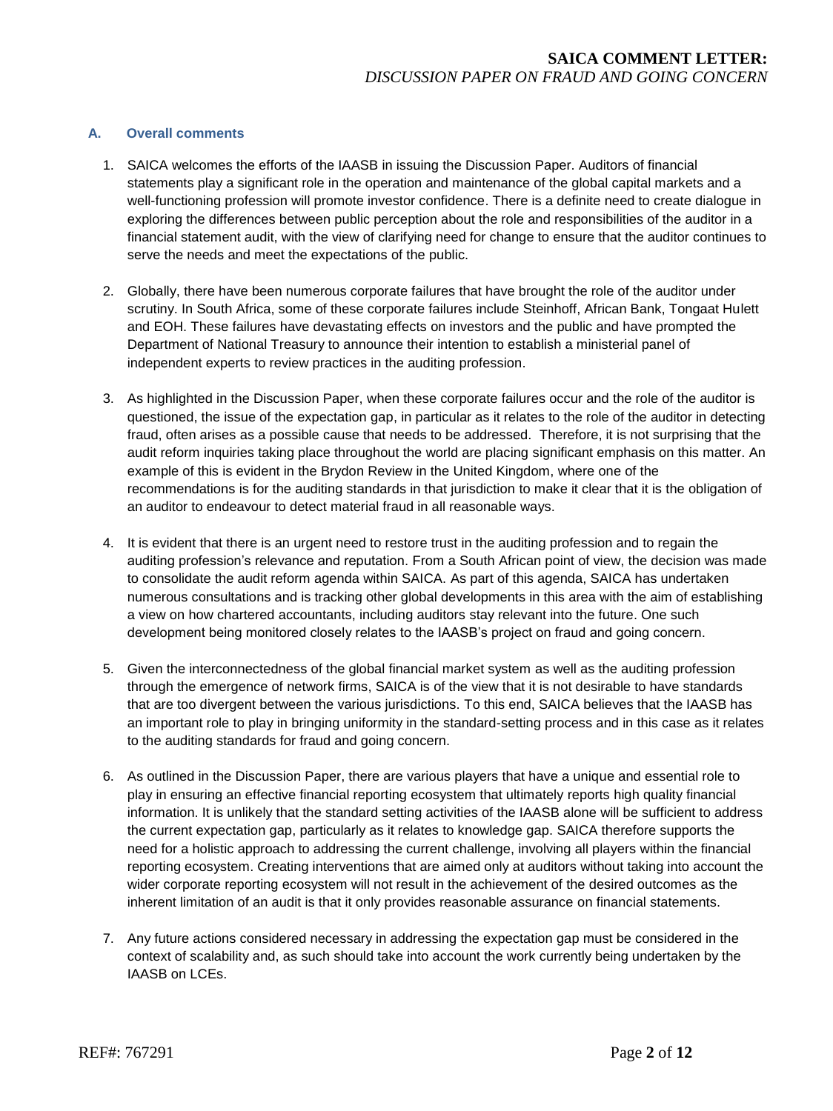## **A. Overall comments**

- 1. SAICA welcomes the efforts of the IAASB in issuing the Discussion Paper. Auditors of financial statements play a significant role in the operation and maintenance of the global capital markets and a well-functioning profession will promote investor confidence. There is a definite need to create dialogue in exploring the differences between public perception about the role and responsibilities of the auditor in a financial statement audit, with the view of clarifying need for change to ensure that the auditor continues to serve the needs and meet the expectations of the public.
- 2. Globally, there have been numerous corporate failures that have brought the role of the auditor under scrutiny. In South Africa, some of these corporate failures include Steinhoff, African Bank, Tongaat Hulett and EOH. These failures have devastating effects on investors and the public and have prompted the Department of National Treasury to announce their intention to establish a ministerial panel of independent experts to review practices in the auditing profession.
- 3. As highlighted in the Discussion Paper, when these corporate failures occur and the role of the auditor is questioned, the issue of the expectation gap, in particular as it relates to the role of the auditor in detecting fraud, often arises as a possible cause that needs to be addressed. Therefore, it is not surprising that the audit reform inquiries taking place throughout the world are placing significant emphasis on this matter. An example of this is evident in the Brydon Review in the United Kingdom, where one of the recommendations is for the auditing standards in that jurisdiction to make it clear that it is the obligation of an auditor to endeavour to detect material fraud in all reasonable ways.
- 4. It is evident that there is an urgent need to restore trust in the auditing profession and to regain the auditing profession's relevance and reputation. From a South African point of view, the decision was made to consolidate the audit reform agenda within SAICA. As part of this agenda, SAICA has undertaken numerous consultations and is tracking other global developments in this area with the aim of establishing a view on how chartered accountants, including auditors stay relevant into the future. One such development being monitored closely relates to the IAASB's project on fraud and going concern.
- 5. Given the interconnectedness of the global financial market system as well as the auditing profession through the emergence of network firms, SAICA is of the view that it is not desirable to have standards that are too divergent between the various jurisdictions. To this end, SAICA believes that the IAASB has an important role to play in bringing uniformity in the standard-setting process and in this case as it relates to the auditing standards for fraud and going concern.
- 6. As outlined in the Discussion Paper, there are various players that have a unique and essential role to play in ensuring an effective financial reporting ecosystem that ultimately reports high quality financial information. It is unlikely that the standard setting activities of the IAASB alone will be sufficient to address the current expectation gap, particularly as it relates to knowledge gap. SAICA therefore supports the need for a holistic approach to addressing the current challenge, involving all players within the financial reporting ecosystem. Creating interventions that are aimed only at auditors without taking into account the wider corporate reporting ecosystem will not result in the achievement of the desired outcomes as the inherent limitation of an audit is that it only provides reasonable assurance on financial statements.
- 7. Any future actions considered necessary in addressing the expectation gap must be considered in the context of scalability and, as such should take into account the work currently being undertaken by the IAASB on LCEs.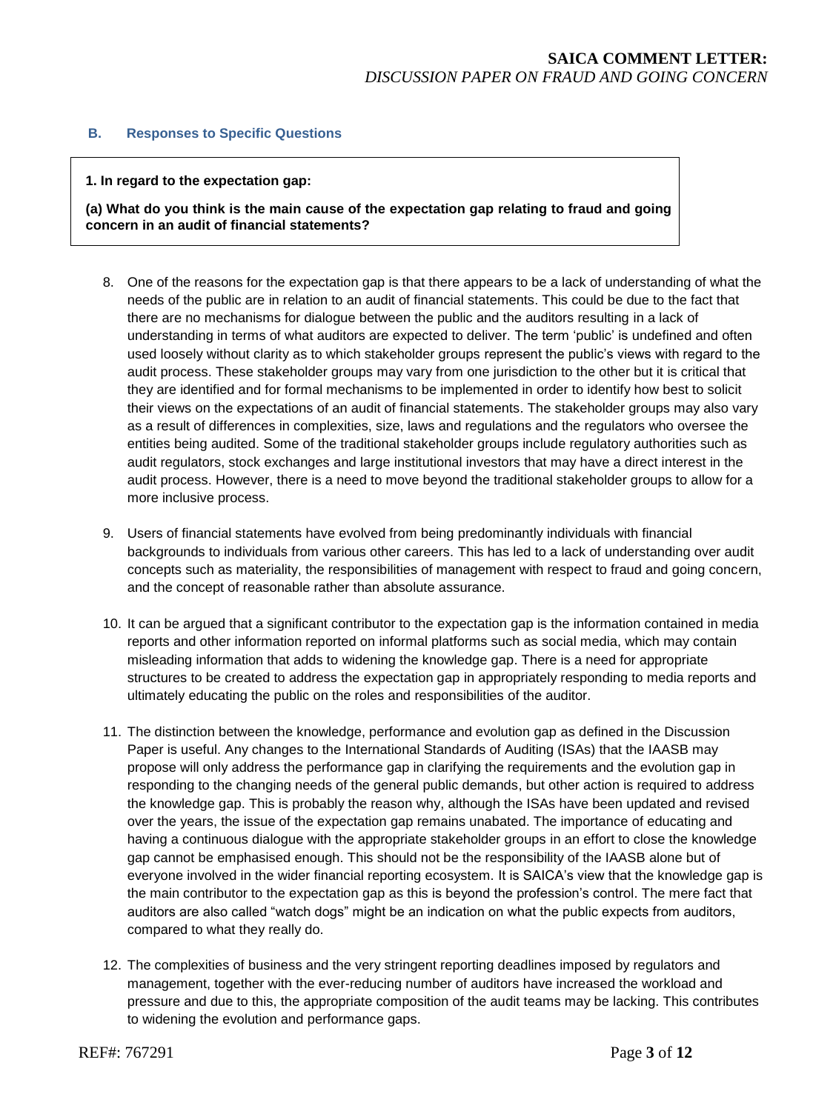## **B. Responses to Specific Questions**

#### **1. In regard to the expectation gap:**

**(a) What do you think is the main cause of the expectation gap relating to fraud and going concern in an audit of financial statements?** 

- 8. One of the reasons for the expectation gap is that there appears to be a lack of understanding of what the needs of the public are in relation to an audit of financial statements. This could be due to the fact that there are no mechanisms for dialogue between the public and the auditors resulting in a lack of understanding in terms of what auditors are expected to deliver. The term 'public' is undefined and often used loosely without clarity as to which stakeholder groups represent the public's views with regard to the audit process. These stakeholder groups may vary from one jurisdiction to the other but it is critical that they are identified and for formal mechanisms to be implemented in order to identify how best to solicit their views on the expectations of an audit of financial statements. The stakeholder groups may also vary as a result of differences in complexities, size, laws and regulations and the regulators who oversee the entities being audited. Some of the traditional stakeholder groups include regulatory authorities such as audit regulators, stock exchanges and large institutional investors that may have a direct interest in the audit process. However, there is a need to move beyond the traditional stakeholder groups to allow for a more inclusive process.
- 9. Users of financial statements have evolved from being predominantly individuals with financial backgrounds to individuals from various other careers. This has led to a lack of understanding over audit concepts such as materiality, the responsibilities of management with respect to fraud and going concern, and the concept of reasonable rather than absolute assurance.
- 10. It can be argued that a significant contributor to the expectation gap is the information contained in media reports and other information reported on informal platforms such as social media, which may contain misleading information that adds to widening the knowledge gap. There is a need for appropriate structures to be created to address the expectation gap in appropriately responding to media reports and ultimately educating the public on the roles and responsibilities of the auditor.
- 11. The distinction between the knowledge, performance and evolution gap as defined in the Discussion Paper is useful. Any changes to the International Standards of Auditing (ISAs) that the IAASB may propose will only address the performance gap in clarifying the requirements and the evolution gap in responding to the changing needs of the general public demands, but other action is required to address the knowledge gap. This is probably the reason why, although the ISAs have been updated and revised over the years, the issue of the expectation gap remains unabated. The importance of educating and having a continuous dialogue with the appropriate stakeholder groups in an effort to close the knowledge gap cannot be emphasised enough. This should not be the responsibility of the IAASB alone but of everyone involved in the wider financial reporting ecosystem. It is SAICA's view that the knowledge gap is the main contributor to the expectation gap as this is beyond the profession's control. The mere fact that auditors are also called "watch dogs" might be an indication on what the public expects from auditors, compared to what they really do.
- 12. The complexities of business and the very stringent reporting deadlines imposed by regulators and management, together with the ever-reducing number of auditors have increased the workload and pressure and due to this, the appropriate composition of the audit teams may be lacking. This contributes to widening the evolution and performance gaps.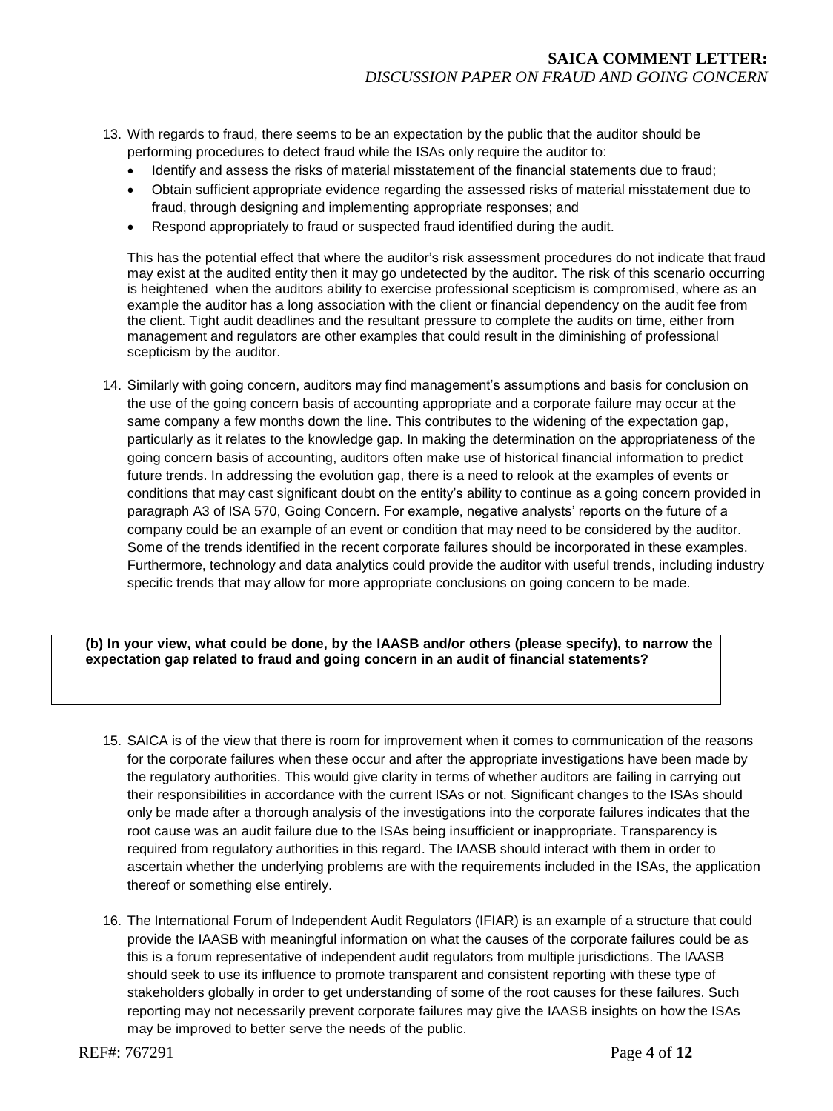- 13. With regards to fraud, there seems to be an expectation by the public that the auditor should be performing procedures to detect fraud while the ISAs only require the auditor to:
	- Identify and assess the risks of material misstatement of the financial statements due to fraud;
	- Obtain sufficient appropriate evidence regarding the assessed risks of material misstatement due to fraud, through designing and implementing appropriate responses; and
	- Respond appropriately to fraud or suspected fraud identified during the audit.

This has the potential effect that where the auditor's risk assessment procedures do not indicate that fraud may exist at the audited entity then it may go undetected by the auditor. The risk of this scenario occurring is heightened when the auditors ability to exercise professional scepticism is compromised, where as an example the auditor has a long association with the client or financial dependency on the audit fee from the client. Tight audit deadlines and the resultant pressure to complete the audits on time, either from management and regulators are other examples that could result in the diminishing of professional scepticism by the auditor.

14. Similarly with going concern, auditors may find management's assumptions and basis for conclusion on the use of the going concern basis of accounting appropriate and a corporate failure may occur at the same company a few months down the line. This contributes to the widening of the expectation gap, particularly as it relates to the knowledge gap. In making the determination on the appropriateness of the going concern basis of accounting, auditors often make use of historical financial information to predict future trends. In addressing the evolution gap, there is a need to relook at the examples of events or conditions that may cast significant doubt on the entity's ability to continue as a going concern provided in paragraph A3 of ISA 570, Going Concern. For example, negative analysts' reports on the future of a company could be an example of an event or condition that may need to be considered by the auditor. Some of the trends identified in the recent corporate failures should be incorporated in these examples. Furthermore, technology and data analytics could provide the auditor with useful trends, including industry specific trends that may allow for more appropriate conclusions on going concern to be made.

**(b) In your view, what could be done, by the IAASB and/or others (please specify), to narrow the expectation gap related to fraud and going concern in an audit of financial statements?**

- 15. SAICA is of the view that there is room for improvement when it comes to communication of the reasons for the corporate failures when these occur and after the appropriate investigations have been made by the regulatory authorities. This would give clarity in terms of whether auditors are failing in carrying out their responsibilities in accordance with the current ISAs or not. Significant changes to the ISAs should only be made after a thorough analysis of the investigations into the corporate failures indicates that the root cause was an audit failure due to the ISAs being insufficient or inappropriate. Transparency is required from regulatory authorities in this regard. The IAASB should interact with them in order to ascertain whether the underlying problems are with the requirements included in the ISAs, the application thereof or something else entirely.
- 16. The International Forum of Independent Audit Regulators (IFIAR) is an example of a structure that could provide the IAASB with meaningful information on what the causes of the corporate failures could be as this is a forum representative of independent audit regulators from multiple jurisdictions. The IAASB should seek to use its influence to promote transparent and consistent reporting with these type of stakeholders globally in order to get understanding of some of the root causes for these failures. Such reporting may not necessarily prevent corporate failures may give the IAASB insights on how the ISAs may be improved to better serve the needs of the public.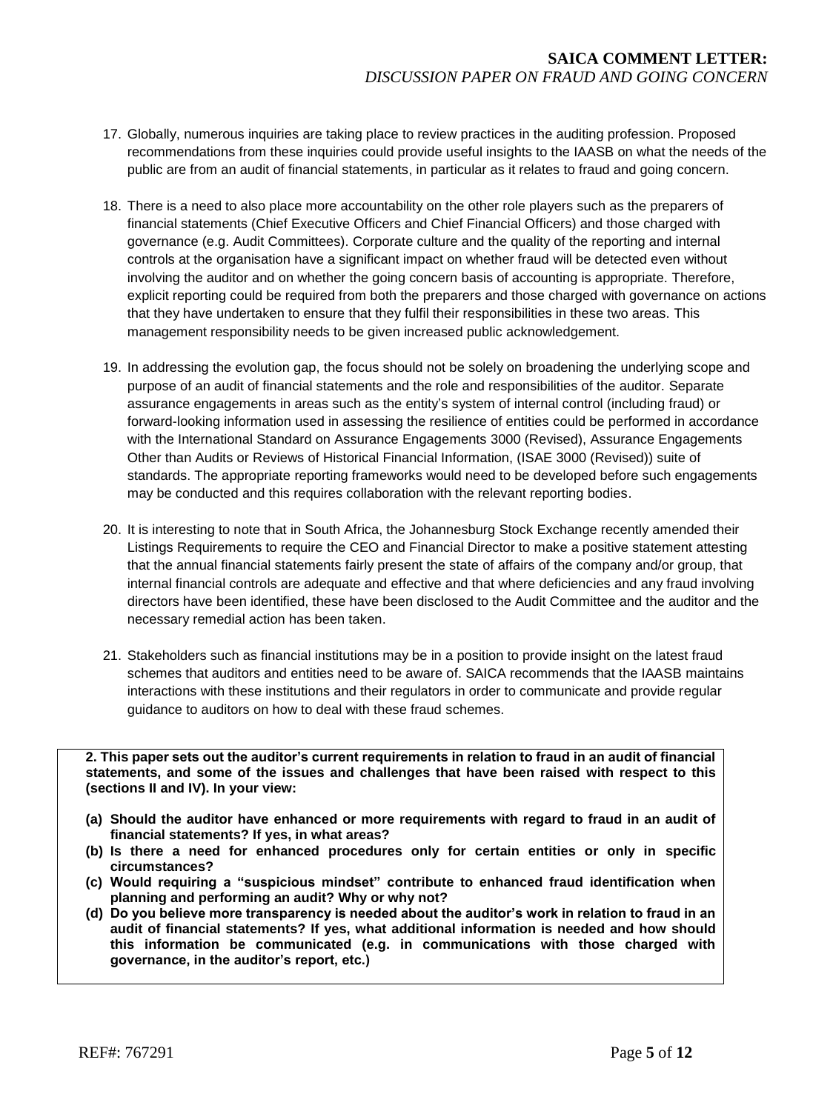- 17. Globally, numerous inquiries are taking place to review practices in the auditing profession. Proposed recommendations from these inquiries could provide useful insights to the IAASB on what the needs of the public are from an audit of financial statements, in particular as it relates to fraud and going concern.
- 18. There is a need to also place more accountability on the other role players such as the preparers of financial statements (Chief Executive Officers and Chief Financial Officers) and those charged with governance (e.g. Audit Committees). Corporate culture and the quality of the reporting and internal controls at the organisation have a significant impact on whether fraud will be detected even without involving the auditor and on whether the going concern basis of accounting is appropriate. Therefore, explicit reporting could be required from both the preparers and those charged with governance on actions that they have undertaken to ensure that they fulfil their responsibilities in these two areas. This management responsibility needs to be given increased public acknowledgement.
- 19. In addressing the evolution gap, the focus should not be solely on broadening the underlying scope and purpose of an audit of financial statements and the role and responsibilities of the auditor. Separate assurance engagements in areas such as the entity's system of internal control (including fraud) or forward-looking information used in assessing the resilience of entities could be performed in accordance with the International Standard on Assurance Engagements 3000 (Revised), Assurance Engagements Other than Audits or Reviews of Historical Financial Information, (ISAE 3000 (Revised)) suite of standards. The appropriate reporting frameworks would need to be developed before such engagements may be conducted and this requires collaboration with the relevant reporting bodies.
- 20. It is interesting to note that in South Africa, the Johannesburg Stock Exchange recently amended their Listings Requirements to require the CEO and Financial Director to make a positive statement attesting that the annual financial statements fairly present the state of affairs of the company and/or group, that internal financial controls are adequate and effective and that where deficiencies and any fraud involving directors have been identified, these have been disclosed to the Audit Committee and the auditor and the necessary remedial action has been taken.
- 21. Stakeholders such as financial institutions may be in a position to provide insight on the latest fraud schemes that auditors and entities need to be aware of. SAICA recommends that the IAASB maintains interactions with these institutions and their regulators in order to communicate and provide regular guidance to auditors on how to deal with these fraud schemes.

**2. This paper sets out the auditor's current requirements in relation to fraud in an audit of financial statements, and some of the issues and challenges that have been raised with respect to this (sections II and IV). In your view:**

- **(a) Should the auditor have enhanced or more requirements with regard to fraud in an audit of financial statements? If yes, in what areas?**
- **(b) Is there a need for enhanced procedures only for certain entities or only in specific circumstances?**
- **(c) Would requiring a "suspicious mindset" contribute to enhanced fraud identification when planning and performing an audit? Why or why not?**
- **(d) Do you believe more transparency is needed about the auditor's work in relation to fraud in an audit of financial statements? If yes, what additional information is needed and how should this information be communicated (e.g. in communications with those charged with governance, in the auditor's report, etc.)**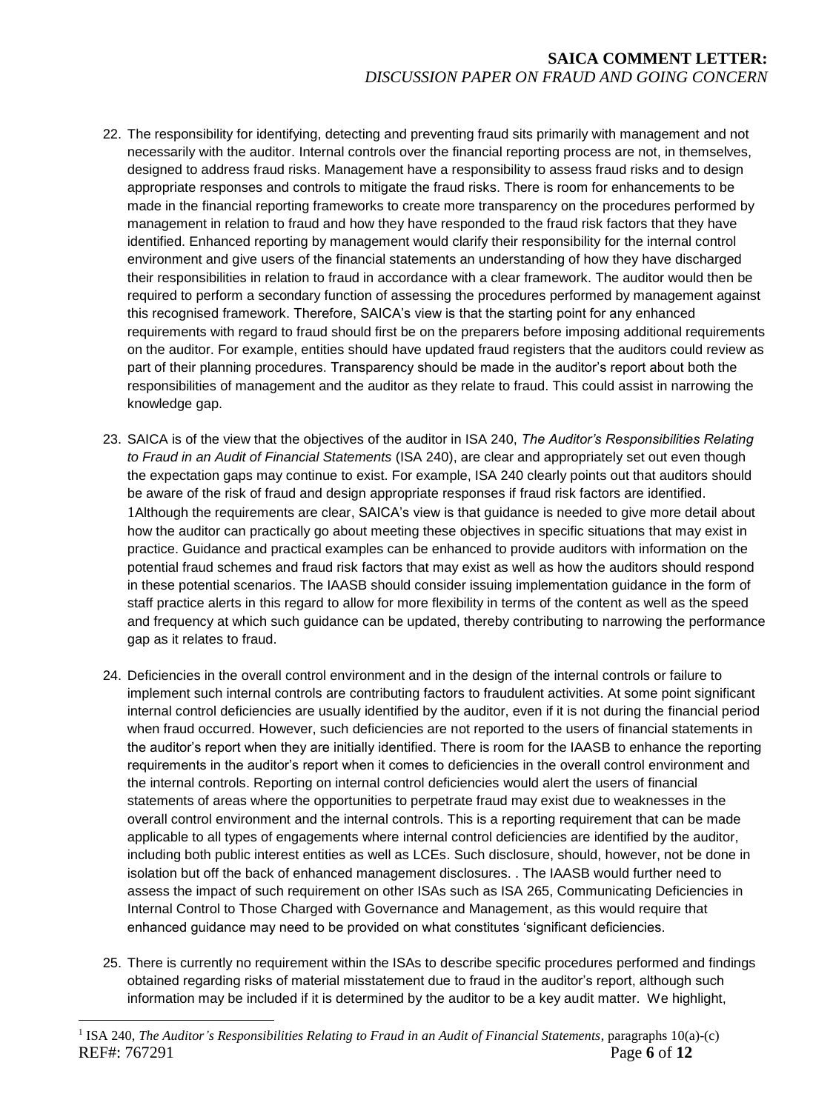- 22. The responsibility for identifying, detecting and preventing fraud sits primarily with management and not necessarily with the auditor. Internal controls over the financial reporting process are not, in themselves, designed to address fraud risks. Management have a responsibility to assess fraud risks and to design appropriate responses and controls to mitigate the fraud risks. There is room for enhancements to be made in the financial reporting frameworks to create more transparency on the procedures performed by management in relation to fraud and how they have responded to the fraud risk factors that they have identified. Enhanced reporting by management would clarify their responsibility for the internal control environment and give users of the financial statements an understanding of how they have discharged their responsibilities in relation to fraud in accordance with a clear framework. The auditor would then be required to perform a secondary function of assessing the procedures performed by management against this recognised framework. Therefore, SAICA's view is that the starting point for any enhanced requirements with regard to fraud should first be on the preparers before imposing additional requirements on the auditor. For example, entities should have updated fraud registers that the auditors could review as part of their planning procedures. Transparency should be made in the auditor's report about both the responsibilities of management and the auditor as they relate to fraud. This could assist in narrowing the knowledge gap.
- 23. SAICA is of the view that the objectives of the auditor in ISA 240, *The Auditor's Responsibilities Relating to Fraud in an Audit of Financial Statements* (ISA 240), are clear and appropriately set out even though the expectation gaps may continue to exist. For example, ISA 240 clearly points out that auditors should be aware of the risk of fraud and design appropriate responses if fraud risk factors are identified. 1Although the requirements are clear, SAICA's view is that guidance is needed to give more detail about how the auditor can practically go about meeting these objectives in specific situations that may exist in practice. Guidance and practical examples can be enhanced to provide auditors with information on the potential fraud schemes and fraud risk factors that may exist as well as how the auditors should respond in these potential scenarios. The IAASB should consider issuing implementation guidance in the form of staff practice alerts in this regard to allow for more flexibility in terms of the content as well as the speed and frequency at which such guidance can be updated, thereby contributing to narrowing the performance gap as it relates to fraud.
- 24. Deficiencies in the overall control environment and in the design of the internal controls or failure to implement such internal controls are contributing factors to fraudulent activities. At some point significant internal control deficiencies are usually identified by the auditor, even if it is not during the financial period when fraud occurred. However, such deficiencies are not reported to the users of financial statements in the auditor's report when they are initially identified. There is room for the IAASB to enhance the reporting requirements in the auditor's report when it comes to deficiencies in the overall control environment and the internal controls. Reporting on internal control deficiencies would alert the users of financial statements of areas where the opportunities to perpetrate fraud may exist due to weaknesses in the overall control environment and the internal controls. This is a reporting requirement that can be made applicable to all types of engagements where internal control deficiencies are identified by the auditor, including both public interest entities as well as LCEs. Such disclosure, should, however, not be done in isolation but off the back of enhanced management disclosures. . The IAASB would further need to assess the impact of such requirement on other ISAs such as ISA 265, Communicating Deficiencies in Internal Control to Those Charged with Governance and Management, as this would require that enhanced guidance may need to be provided on what constitutes 'significant deficiencies.
- 25. There is currently no requirement within the ISAs to describe specific procedures performed and findings obtained regarding risks of material misstatement due to fraud in the auditor's report, although such information may be included if it is determined by the auditor to be a key audit matter. We highlight,

 $\overline{a}$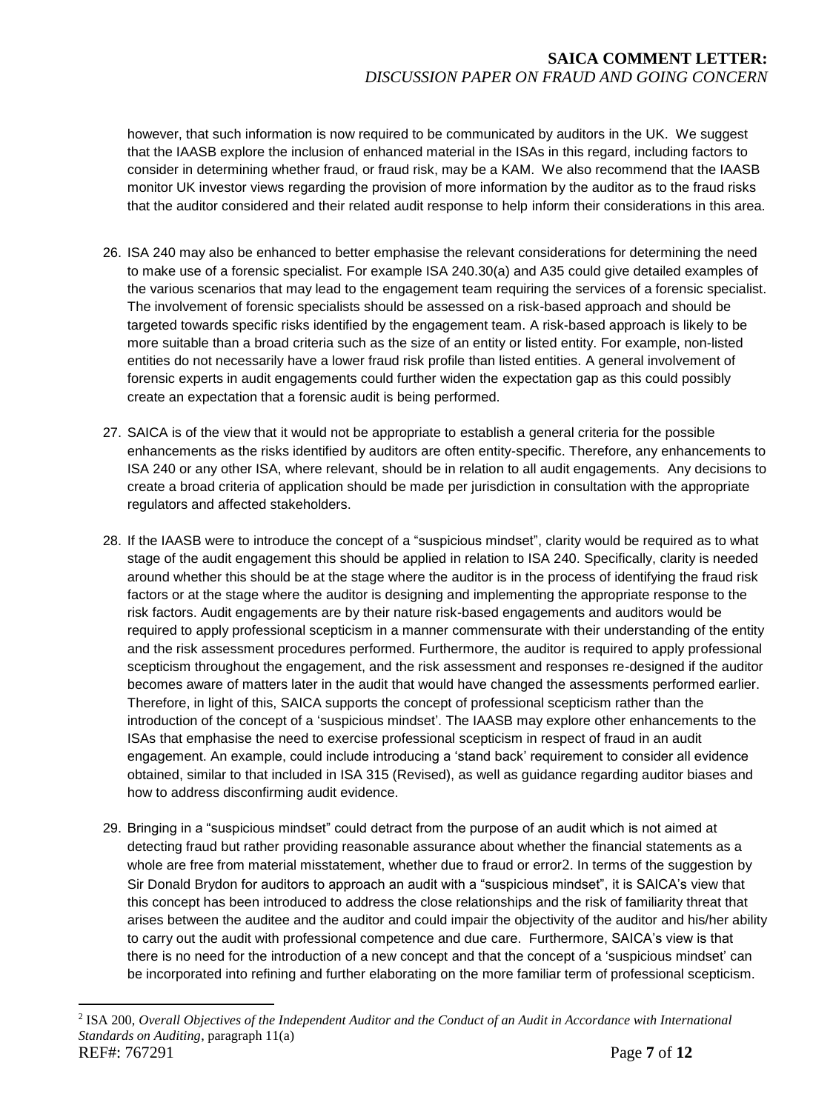however, that such information is now required to be communicated by auditors in the UK. We suggest that the IAASB explore the inclusion of enhanced material in the ISAs in this regard, including factors to consider in determining whether fraud, or fraud risk, may be a KAM. We also recommend that the IAASB monitor UK investor views regarding the provision of more information by the auditor as to the fraud risks that the auditor considered and their related audit response to help inform their considerations in this area.

- 26. ISA 240 may also be enhanced to better emphasise the relevant considerations for determining the need to make use of a forensic specialist. For example ISA 240.30(a) and A35 could give detailed examples of the various scenarios that may lead to the engagement team requiring the services of a forensic specialist. The involvement of forensic specialists should be assessed on a risk-based approach and should be targeted towards specific risks identified by the engagement team. A risk-based approach is likely to be more suitable than a broad criteria such as the size of an entity or listed entity. For example, non-listed entities do not necessarily have a lower fraud risk profile than listed entities. A general involvement of forensic experts in audit engagements could further widen the expectation gap as this could possibly create an expectation that a forensic audit is being performed.
- 27. SAICA is of the view that it would not be appropriate to establish a general criteria for the possible enhancements as the risks identified by auditors are often entity-specific. Therefore, any enhancements to ISA 240 or any other ISA, where relevant, should be in relation to all audit engagements. Any decisions to create a broad criteria of application should be made per jurisdiction in consultation with the appropriate regulators and affected stakeholders.
- 28. If the IAASB were to introduce the concept of a "suspicious mindset", clarity would be required as to what stage of the audit engagement this should be applied in relation to ISA 240. Specifically, clarity is needed around whether this should be at the stage where the auditor is in the process of identifying the fraud risk factors or at the stage where the auditor is designing and implementing the appropriate response to the risk factors. Audit engagements are by their nature risk-based engagements and auditors would be required to apply professional scepticism in a manner commensurate with their understanding of the entity and the risk assessment procedures performed. Furthermore, the auditor is required to apply professional scepticism throughout the engagement, and the risk assessment and responses re-designed if the auditor becomes aware of matters later in the audit that would have changed the assessments performed earlier. Therefore, in light of this, SAICA supports the concept of professional scepticism rather than the introduction of the concept of a 'suspicious mindset'. The IAASB may explore other enhancements to the ISAs that emphasise the need to exercise professional scepticism in respect of fraud in an audit engagement. An example, could include introducing a 'stand back' requirement to consider all evidence obtained, similar to that included in ISA 315 (Revised), as well as guidance regarding auditor biases and how to address disconfirming audit evidence.
- 29. Bringing in a "suspicious mindset" could detract from the purpose of an audit which is not aimed at detecting fraud but rather providing reasonable assurance about whether the financial statements as a whole are free from material misstatement, whether due to fraud or error2. In terms of the suggestion by Sir Donald Brydon for auditors to approach an audit with a "suspicious mindset", it is SAICA's view that this concept has been introduced to address the close relationships and the risk of familiarity threat that arises between the auditee and the auditor and could impair the objectivity of the auditor and his/her ability to carry out the audit with professional competence and due care. Furthermore, SAICA's view is that there is no need for the introduction of a new concept and that the concept of a 'suspicious mindset' can be incorporated into refining and further elaborating on the more familiar term of professional scepticism.

 $\overline{a}$ 

REF#: 767291 Page **7** of **12** <sup>2</sup> ISA 200, *Overall Objectives of the Independent Auditor and the Conduct of an Audit in Accordance with International Standards on Auditing*, paragraph 11(a)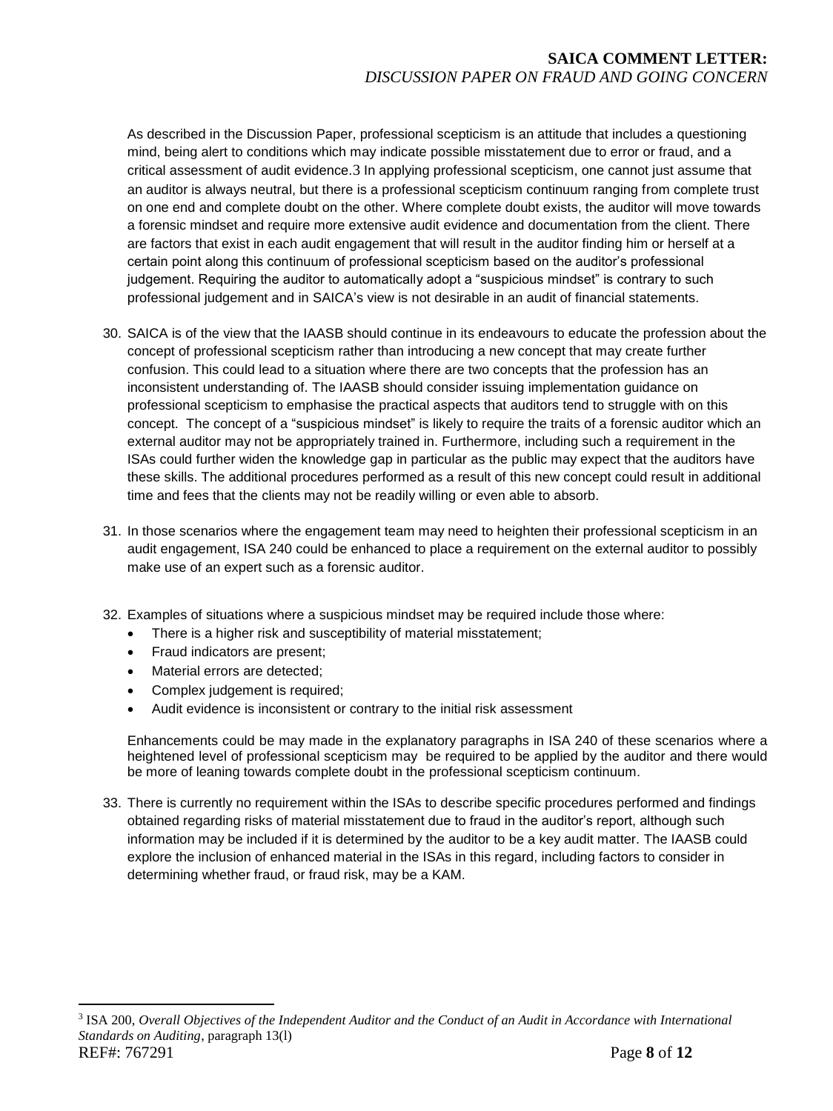As described in the Discussion Paper, professional scepticism is an attitude that includes a questioning mind, being alert to conditions which may indicate possible misstatement due to error or fraud, and a critical assessment of audit evidence.3 In applying professional scepticism, one cannot just assume that an auditor is always neutral, but there is a professional scepticism continuum ranging from complete trust on one end and complete doubt on the other. Where complete doubt exists, the auditor will move towards a forensic mindset and require more extensive audit evidence and documentation from the client. There are factors that exist in each audit engagement that will result in the auditor finding him or herself at a certain point along this continuum of professional scepticism based on the auditor's professional judgement. Requiring the auditor to automatically adopt a "suspicious mindset" is contrary to such professional judgement and in SAICA's view is not desirable in an audit of financial statements.

- 30. SAICA is of the view that the IAASB should continue in its endeavours to educate the profession about the concept of professional scepticism rather than introducing a new concept that may create further confusion. This could lead to a situation where there are two concepts that the profession has an inconsistent understanding of. The IAASB should consider issuing implementation guidance on professional scepticism to emphasise the practical aspects that auditors tend to struggle with on this concept. The concept of a "suspicious mindset" is likely to require the traits of a forensic auditor which an external auditor may not be appropriately trained in. Furthermore, including such a requirement in the ISAs could further widen the knowledge gap in particular as the public may expect that the auditors have these skills. The additional procedures performed as a result of this new concept could result in additional time and fees that the clients may not be readily willing or even able to absorb.
- 31. In those scenarios where the engagement team may need to heighten their professional scepticism in an audit engagement, ISA 240 could be enhanced to place a requirement on the external auditor to possibly make use of an expert such as a forensic auditor.
- 32. Examples of situations where a suspicious mindset may be required include those where:
	- There is a higher risk and susceptibility of material misstatement;
	- Fraud indicators are present;
	- Material errors are detected;

 $\overline{a}$ 

- Complex judgement is required;
- Audit evidence is inconsistent or contrary to the initial risk assessment

Enhancements could be may made in the explanatory paragraphs in ISA 240 of these scenarios where a heightened level of professional scepticism may be required to be applied by the auditor and there would be more of leaning towards complete doubt in the professional scepticism continuum.

33. There is currently no requirement within the ISAs to describe specific procedures performed and findings obtained regarding risks of material misstatement due to fraud in the auditor's report, although such information may be included if it is determined by the auditor to be a key audit matter. The IAASB could explore the inclusion of enhanced material in the ISAs in this regard, including factors to consider in determining whether fraud, or fraud risk, may be a KAM.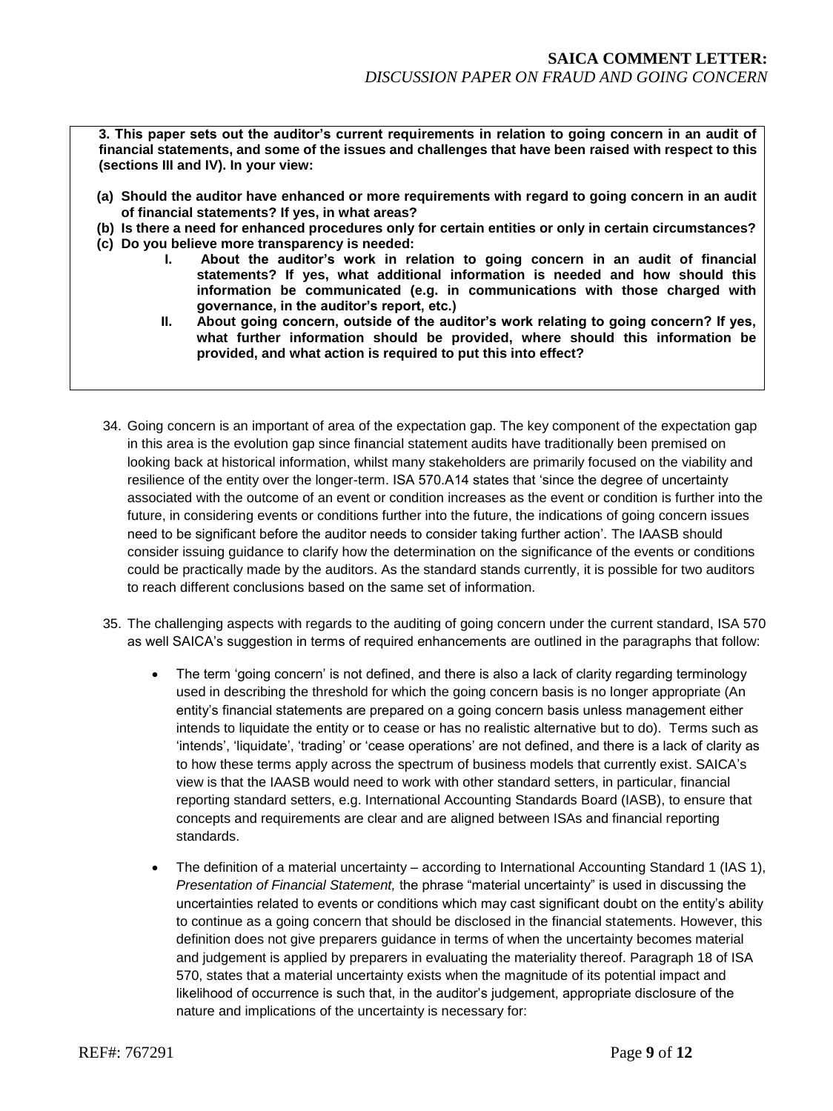**3. This paper sets out the auditor's current requirements in relation to going concern in an audit of financial statements, and some of the issues and challenges that have been raised with respect to this (sections III and IV). In your view:**

- **(a) Should the auditor have enhanced or more requirements with regard to going concern in an audit of financial statements? If yes, in what areas?**
- **(b) Is there a need for enhanced procedures only for certain entities or only in certain circumstances?**
- **(c) Do you believe more transparency is needed:**
	- **I. About the auditor's work in relation to going concern in an audit of financial statements? If yes, what additional information is needed and how should this information be communicated (e.g. in communications with those charged with governance, in the auditor's report, etc.)**
	- **II. About going concern, outside of the auditor's work relating to going concern? If yes, what further information should be provided, where should this information be provided, and what action is required to put this into effect?**
- 34. Going concern is an important of area of the expectation gap. The key component of the expectation gap in this area is the evolution gap since financial statement audits have traditionally been premised on looking back at historical information, whilst many stakeholders are primarily focused on the viability and resilience of the entity over the longer-term. ISA 570.A14 states that 'since the degree of uncertainty associated with the outcome of an event or condition increases as the event or condition is further into the future, in considering events or conditions further into the future, the indications of going concern issues need to be significant before the auditor needs to consider taking further action'. The IAASB should consider issuing guidance to clarify how the determination on the significance of the events or conditions could be practically made by the auditors. As the standard stands currently, it is possible for two auditors to reach different conclusions based on the same set of information.
- 35. The challenging aspects with regards to the auditing of going concern under the current standard, ISA 570 as well SAICA's suggestion in terms of required enhancements are outlined in the paragraphs that follow:
	- The term 'going concern' is not defined, and there is also a lack of clarity regarding terminology used in describing the threshold for which the going concern basis is no longer appropriate (An entity's financial statements are prepared on a going concern basis unless management either intends to liquidate the entity or to cease or has no realistic alternative but to do). Terms such as 'intends', 'liquidate', 'trading' or 'cease operations' are not defined, and there is a lack of clarity as to how these terms apply across the spectrum of business models that currently exist. SAICA's view is that the IAASB would need to work with other standard setters, in particular, financial reporting standard setters, e.g. International Accounting Standards Board (IASB), to ensure that concepts and requirements are clear and are aligned between ISAs and financial reporting standards.
	- The definition of a material uncertainty according to International Accounting Standard 1 (IAS 1), *Presentation of Financial Statement,* the phrase "material uncertainty" is used in discussing the uncertainties related to events or conditions which may cast significant doubt on the entity's ability to continue as a going concern that should be disclosed in the financial statements. However, this definition does not give preparers guidance in terms of when the uncertainty becomes material and judgement is applied by preparers in evaluating the materiality thereof. Paragraph 18 of ISA 570, states that a material uncertainty exists when the magnitude of its potential impact and likelihood of occurrence is such that, in the auditor's judgement, appropriate disclosure of the nature and implications of the uncertainty is necessary for: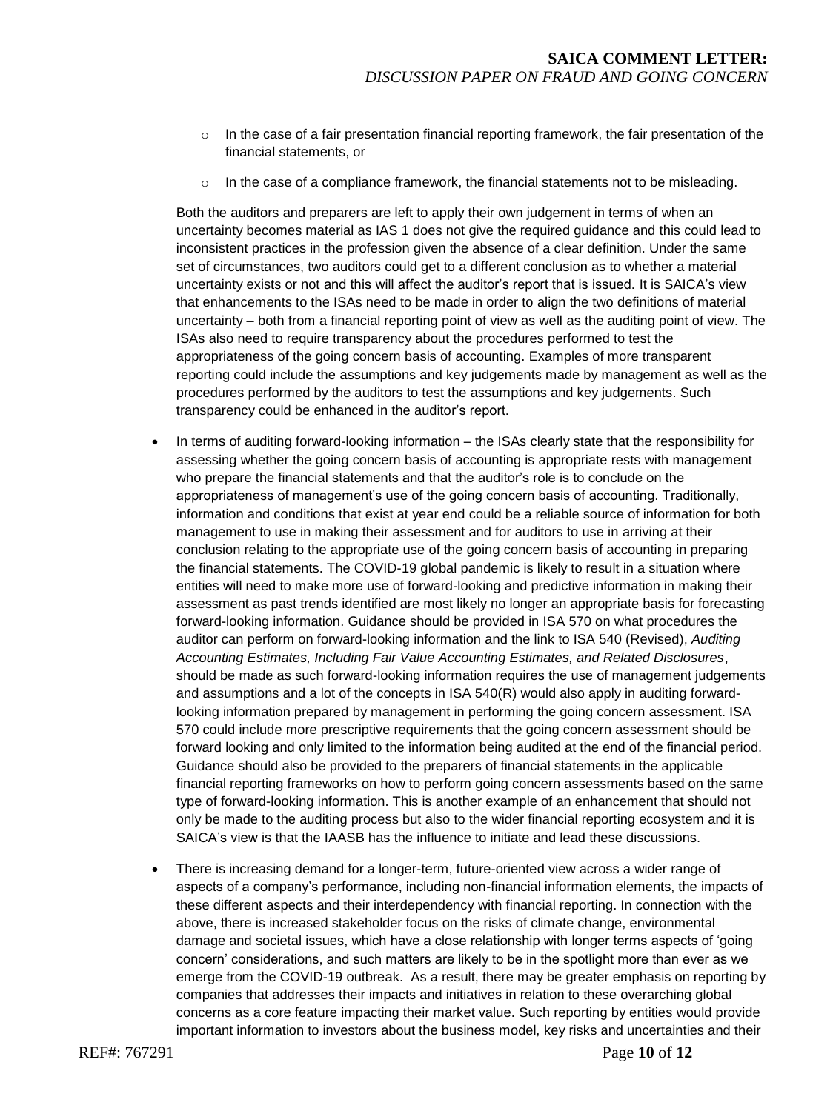- $\circ$  In the case of a fair presentation financial reporting framework, the fair presentation of the financial statements, or
- $\circ$  In the case of a compliance framework, the financial statements not to be misleading.

Both the auditors and preparers are left to apply their own judgement in terms of when an uncertainty becomes material as IAS 1 does not give the required guidance and this could lead to inconsistent practices in the profession given the absence of a clear definition. Under the same set of circumstances, two auditors could get to a different conclusion as to whether a material uncertainty exists or not and this will affect the auditor's report that is issued. It is SAICA's view that enhancements to the ISAs need to be made in order to align the two definitions of material uncertainty – both from a financial reporting point of view as well as the auditing point of view. The ISAs also need to require transparency about the procedures performed to test the appropriateness of the going concern basis of accounting. Examples of more transparent reporting could include the assumptions and key judgements made by management as well as the procedures performed by the auditors to test the assumptions and key judgements. Such transparency could be enhanced in the auditor's report.

- In terms of auditing forward-looking information the ISAs clearly state that the responsibility for assessing whether the going concern basis of accounting is appropriate rests with management who prepare the financial statements and that the auditor's role is to conclude on the appropriateness of management's use of the going concern basis of accounting. Traditionally, information and conditions that exist at year end could be a reliable source of information for both management to use in making their assessment and for auditors to use in arriving at their conclusion relating to the appropriate use of the going concern basis of accounting in preparing the financial statements. The COVID-19 global pandemic is likely to result in a situation where entities will need to make more use of forward-looking and predictive information in making their assessment as past trends identified are most likely no longer an appropriate basis for forecasting forward-looking information. Guidance should be provided in ISA 570 on what procedures the auditor can perform on forward-looking information and the link to ISA 540 (Revised), *Auditing Accounting Estimates, Including Fair Value Accounting Estimates, and Related Disclosures*, should be made as such forward-looking information requires the use of management judgements and assumptions and a lot of the concepts in ISA 540(R) would also apply in auditing forwardlooking information prepared by management in performing the going concern assessment. ISA 570 could include more prescriptive requirements that the going concern assessment should be forward looking and only limited to the information being audited at the end of the financial period. Guidance should also be provided to the preparers of financial statements in the applicable financial reporting frameworks on how to perform going concern assessments based on the same type of forward-looking information. This is another example of an enhancement that should not only be made to the auditing process but also to the wider financial reporting ecosystem and it is SAICA's view is that the IAASB has the influence to initiate and lead these discussions.
- There is increasing demand for a longer-term, future-oriented view across a wider range of aspects of a company's performance, including non-financial information elements, the impacts of these different aspects and their interdependency with financial reporting. In connection with the above, there is increased stakeholder focus on the risks of climate change, environmental damage and societal issues, which have a close relationship with longer terms aspects of 'going concern' considerations, and such matters are likely to be in the spotlight more than ever as we emerge from the COVID-19 outbreak. As a result, there may be greater emphasis on reporting by companies that addresses their impacts and initiatives in relation to these overarching global concerns as a core feature impacting their market value. Such reporting by entities would provide important information to investors about the business model, key risks and uncertainties and their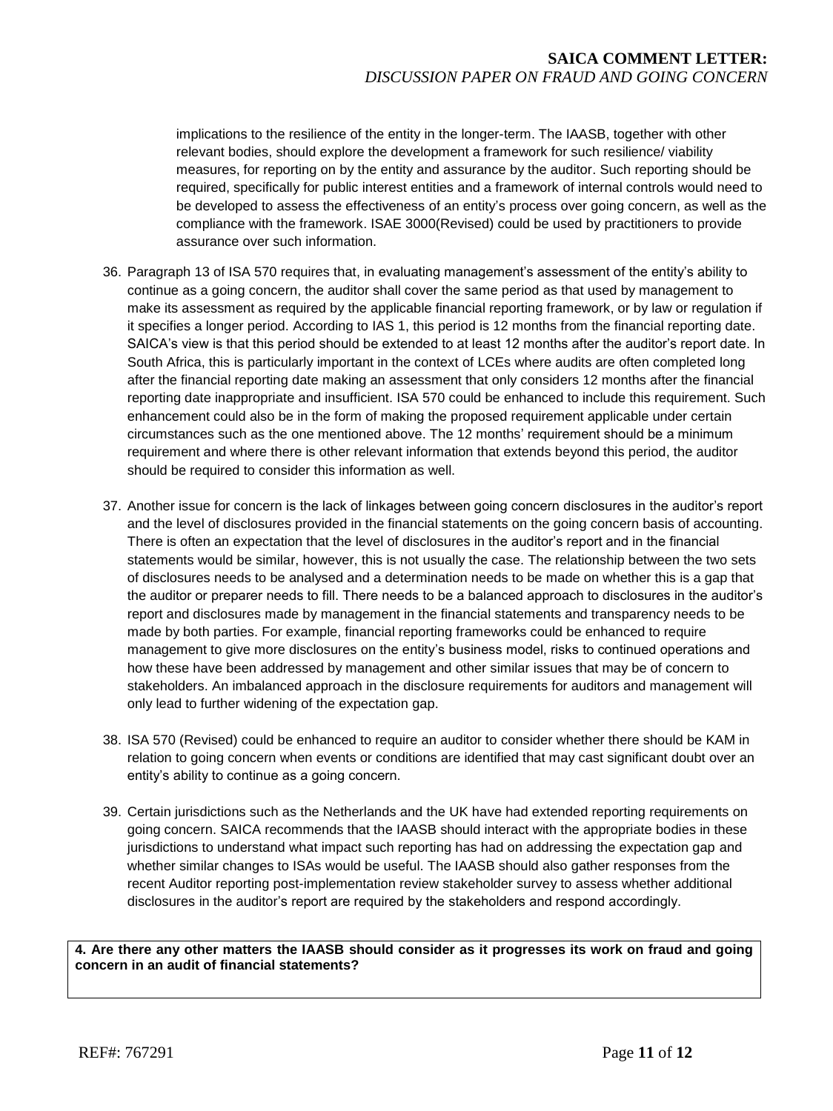implications to the resilience of the entity in the longer-term. The IAASB, together with other relevant bodies, should explore the development a framework for such resilience/ viability measures, for reporting on by the entity and assurance by the auditor. Such reporting should be required, specifically for public interest entities and a framework of internal controls would need to be developed to assess the effectiveness of an entity's process over going concern, as well as the compliance with the framework. ISAE 3000(Revised) could be used by practitioners to provide assurance over such information.

- 36. Paragraph 13 of ISA 570 requires that, in evaluating management's assessment of the entity's ability to continue as a going concern, the auditor shall cover the same period as that used by management to make its assessment as required by the applicable financial reporting framework, or by law or regulation if it specifies a longer period. According to IAS 1, this period is 12 months from the financial reporting date. SAICA's view is that this period should be extended to at least 12 months after the auditor's report date. In South Africa, this is particularly important in the context of LCEs where audits are often completed long after the financial reporting date making an assessment that only considers 12 months after the financial reporting date inappropriate and insufficient. ISA 570 could be enhanced to include this requirement. Such enhancement could also be in the form of making the proposed requirement applicable under certain circumstances such as the one mentioned above. The 12 months' requirement should be a minimum requirement and where there is other relevant information that extends beyond this period, the auditor should be required to consider this information as well.
- 37. Another issue for concern is the lack of linkages between going concern disclosures in the auditor's report and the level of disclosures provided in the financial statements on the going concern basis of accounting. There is often an expectation that the level of disclosures in the auditor's report and in the financial statements would be similar, however, this is not usually the case. The relationship between the two sets of disclosures needs to be analysed and a determination needs to be made on whether this is a gap that the auditor or preparer needs to fill. There needs to be a balanced approach to disclosures in the auditor's report and disclosures made by management in the financial statements and transparency needs to be made by both parties. For example, financial reporting frameworks could be enhanced to require management to give more disclosures on the entity's business model, risks to continued operations and how these have been addressed by management and other similar issues that may be of concern to stakeholders. An imbalanced approach in the disclosure requirements for auditors and management will only lead to further widening of the expectation gap.
- 38. ISA 570 (Revised) could be enhanced to require an auditor to consider whether there should be KAM in relation to going concern when events or conditions are identified that may cast significant doubt over an entity's ability to continue as a going concern.
- 39. Certain jurisdictions such as the Netherlands and the UK have had extended reporting requirements on going concern. SAICA recommends that the IAASB should interact with the appropriate bodies in these jurisdictions to understand what impact such reporting has had on addressing the expectation gap and whether similar changes to ISAs would be useful. The IAASB should also gather responses from the recent Auditor reporting post-implementation review stakeholder survey to assess whether additional disclosures in the auditor's report are required by the stakeholders and respond accordingly.

## **4. Are there any other matters the IAASB should consider as it progresses its work on fraud and going concern in an audit of financial statements?**